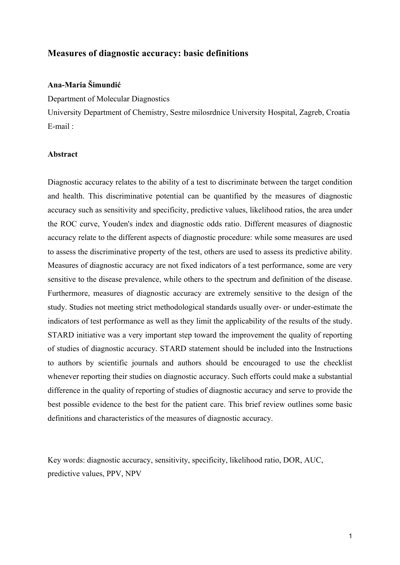# **Measures of diagnostic accuracy: basic definitions**

## **Ana-Maria Šimundić**

Department of Molecular Diagnostics

University Department of Chemistry, Sestre milosrdnice University Hospital, Zagreb, Croatia E-mail :

### **Abstract**

Diagnostic accuracy relates to the ability of a test to discriminate between the target condition and health. This discriminative potential can be quantified by the measures of diagnostic accuracy such as sensitivity and specificity, predictive values, likelihood ratios, the area under the ROC curve, Youden's index and diagnostic odds ratio. Different measures of diagnostic accuracy relate to the different aspects of diagnostic procedure: while some measures are used to assess the discriminative property of the test, others are used to assess its predictive ability. Measures of diagnostic accuracy are not fixed indicators of a test performance, some are very sensitive to the disease prevalence, while others to the spectrum and definition of the disease. Furthermore, measures of diagnostic accuracy are extremely sensitive to the design of the study. Studies not meeting strict methodological standards usually over- or under-estimate the indicators of test performance as well as they limit the applicability of the results of the study. STARD initiative was a very important step toward the improvement the quality of reporting of studies of diagnostic accuracy. STARD statement should be included into the Instructions to authors by scientific journals and authors should be encouraged to use the checklist whenever reporting their studies on diagnostic accuracy. Such efforts could make a substantial difference in the quality of reporting of studies of diagnostic accuracy and serve to provide the best possible evidence to the best for the patient care. This brief review outlines some basic definitions and characteristics of the measures of diagnostic accuracy.

Key words: diagnostic accuracy, sensitivity, specificity, likelihood ratio, DOR, AUC, predictive values, PPV, NPV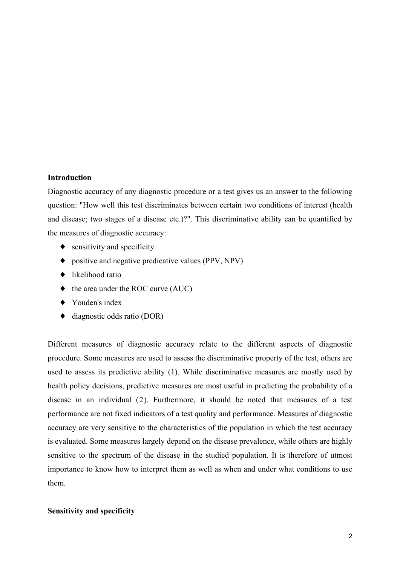## **Introduction**

Diagnostic accuracy of any diagnostic procedure or a test gives us an answer to the following question: "How well this test discriminates between certain two conditions of interest (health and disease; two stages of a disease etc.)?". This discriminative ability can be quantified by the measures of diagnostic accuracy:

- $\bullet$  sensitivity and specificity
- ♦ positive and negative predicative values (PPV, NPV)
- ◆ likelihood ratio
- $\blacklozenge$  the area under the ROC curve (AUC)
- ♦ Youden's index
- ♦ diagnostic odds ratio (DOR)

Different measures of diagnostic accuracy relate to the different aspects of diagnostic procedure. Some measures are used to assess the discriminative property of the test, others are used to assess its predictive ability (1). While discriminative measures are mostly used by health policy decisions, predictive measures are most useful in predicting the probability of a disease in an individual (2). Furthermore, it should be noted that measures of a test performance are not fixed indicators of a test quality and performance. Measures of diagnostic accuracy are very sensitive to the characteristics of the population in which the test accuracy is evaluated. Some measures largely depend on the disease prevalence, while others are highly sensitive to the spectrum of the disease in the studied population. It is therefore of utmost importance to know how to interpret them as well as when and under what conditions to use them.

## **Sensitivity and specificity**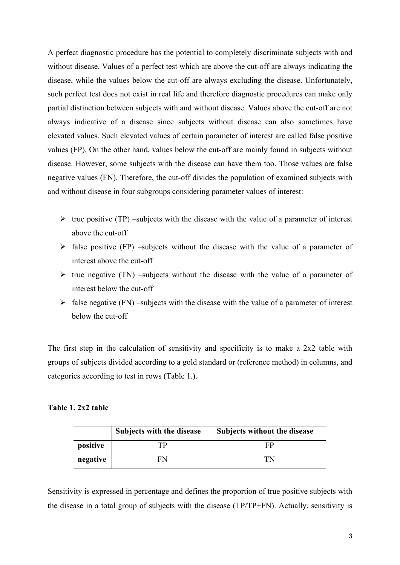A perfect diagnostic procedure has the potential to completely discriminate subjects with and without disease. Values of a perfect test which are above the cut-off are always indicating the disease, while the values below the cut-off are always excluding the disease. Unfortunately, such perfect test does not exist in real life and therefore diagnostic procedures can make only partial distinction between subjects with and without disease. Values above the cut-off are not always indicative of a disease since subjects without disease can also sometimes have elevated values. Such elevated values of certain parameter of interest are called false positive values (FP). On the other hand, values below the cut-off are mainly found in subjects without disease. However, some subjects with the disease can have them too. Those values are false negative values (FN). Therefore, the cut-off divides the population of examined subjects with and without disease in four subgroups considering parameter values of interest:

- $\triangleright$  true positive (TP) –subjects with the disease with the value of a parameter of interest above the cut-off
- $\triangleright$  false positive (FP) –subjects without the disease with the value of a parameter of interest above the cut-off
- $\triangleright$  true negative (TN) –subjects without the disease with the value of a parameter of interest below the cut-off
- $\triangleright$  false negative (FN) –subjects with the disease with the value of a parameter of interest below the cut-off

The first step in the calculation of sensitivity and specificity is to make a 2x2 table with groups of subjects divided according to a gold standard or (reference method) in columns, and categories according to test in rows (Table 1.).

## **Table 1. 2x2 table**

|          | Subjects with the disease | Subjects without the disease |
|----------|---------------------------|------------------------------|
| positive | TР                        | EP                           |
| negative | FN                        | TN                           |

Sensitivity is expressed in percentage and defines the proportion of true positive subjects with the disease in a total group of subjects with the disease (TP/TP+FN). Actually, sensitivity is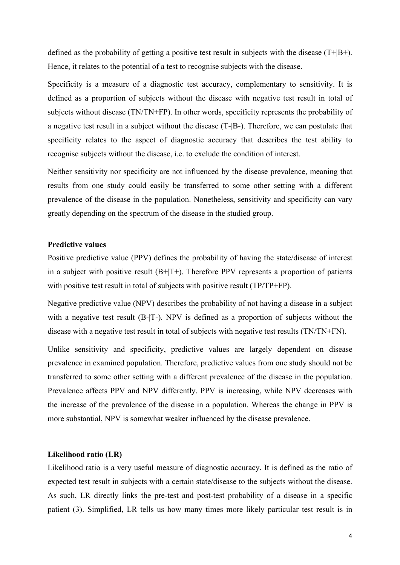defined as the probability of getting a positive test result in subjects with the disease (T+|B+). Hence, it relates to the potential of a test to recognise subjects with the disease.

Specificity is a measure of a diagnostic test accuracy, complementary to sensitivity. It is defined as a proportion of subjects without the disease with negative test result in total of subjects without disease (TN/TN+FP). In other words, specificity represents the probability of a negative test result in a subject without the disease (T-|B-). Therefore, we can postulate that specificity relates to the aspect of diagnostic accuracy that describes the test ability to recognise subjects without the disease, i.e. to exclude the condition of interest.

Neither sensitivity nor specificity are not influenced by the disease prevalence, meaning that results from one study could easily be transferred to some other setting with a different prevalence of the disease in the population. Nonetheless, sensitivity and specificity can vary greatly depending on the spectrum of the disease in the studied group.

#### **Predictive values**

Positive predictive value (PPV) defines the probability of having the state/disease of interest in a subject with positive result  $(B+|T+)$ . Therefore PPV represents a proportion of patients with positive test result in total of subjects with positive result (TP/TP+FP).

Negative predictive value (NPV) describes the probability of not having a disease in a subject with a negative test result (B-|T-). NPV is defined as a proportion of subjects without the disease with a negative test result in total of subjects with negative test results (TN/TN+FN).

Unlike sensitivity and specificity, predictive values are largely dependent on disease prevalence in examined population. Therefore, predictive values from one study should not be transferred to some other setting with a different prevalence of the disease in the population. Prevalence affects PPV and NPV differently. PPV is increasing, while NPV decreases with the increase of the prevalence of the disease in a population. Whereas the change in PPV is more substantial, NPV is somewhat weaker influenced by the disease prevalence.

#### **Likelihood ratio (LR)**

Likelihood ratio is a very useful measure of diagnostic accuracy. It is defined as the ratio of expected test result in subjects with a certain state/disease to the subjects without the disease. As such, LR directly links the pre-test and post-test probability of a disease in a specific patient (3). Simplified, LR tells us how many times more likely particular test result is in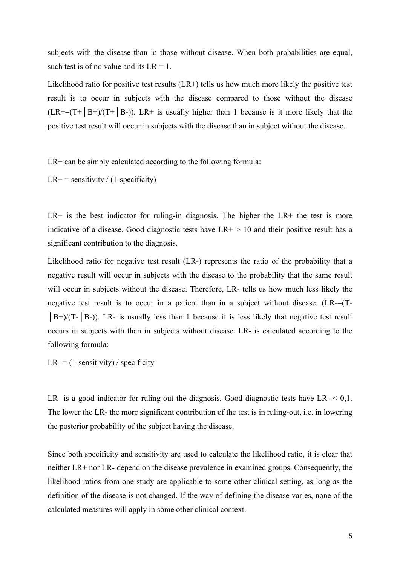subjects with the disease than in those without disease. When both probabilities are equal, such test is of no value and its  $LR = 1$ .

Likelihood ratio for positive test results (LR+) tells us how much more likely the positive test result is to occur in subjects with the disease compared to those without the disease  $(LR+=(T+|B+)/(T+|B-))$ . LR+ is usually higher than 1 because is it more likely that the positive test result will occur in subjects with the disease than in subject without the disease.

LR+ can be simply calculated according to the following formula:

 $LR$ + = sensitivity / (1-specificity)

 $LR+$  is the best indicator for ruling-in diagnosis. The higher the  $LR+$  the test is more indicative of a disease. Good diagnostic tests have  $LR+ > 10$  and their positive result has a significant contribution to the diagnosis.

Likelihood ratio for negative test result (LR-) represents the ratio of the probability that a negative result will occur in subjects with the disease to the probability that the same result will occur in subjects without the disease. Therefore, LR- tells us how much less likely the negative test result is to occur in a patient than in a subject without disease. (LR-=(T-  $|B+|/(\text{T-}|B-|)$ . LR- is usually less than 1 because it is less likely that negative test result occurs in subjects with than in subjects without disease. LR- is calculated according to the following formula:

 $LR = (1$ -sensitivity) / specificity

LR- is a good indicator for ruling-out the diagnosis. Good diagnostic tests have  $LR -  $0,1$ .$ The lower the LR- the more significant contribution of the test is in ruling-out, i.e. in lowering the posterior probability of the subject having the disease.

Since both specificity and sensitivity are used to calculate the likelihood ratio, it is clear that neither LR+ nor LR- depend on the disease prevalence in examined groups. Consequently, the likelihood ratios from one study are applicable to some other clinical setting, as long as the definition of the disease is not changed. If the way of defining the disease varies, none of the calculated measures will apply in some other clinical context.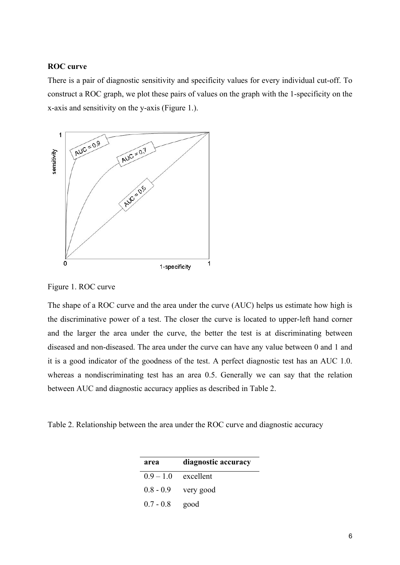## **ROC curve**

There is a pair of diagnostic sensitivity and specificity values for every individual cut-off. To construct a ROC graph, we plot these pairs of values on the graph with the 1-specificity on the x-axis and sensitivity on the y-axis (Figure 1.).



Figure 1. ROC curve

The shape of a ROC curve and the area under the curve (AUC) helps us estimate how high is the discriminative power of a test. The closer the curve is located to upper-left hand corner and the larger the area under the curve, the better the test is at discriminating between diseased and non-diseased. The area under the curve can have any value between 0 and 1 and it is a good indicator of the goodness of the test. A perfect diagnostic test has an AUC 1.0. whereas a nondiscriminating test has an area 0.5. Generally we can say that the relation between AUC and diagnostic accuracy applies as described in Table 2.

Table 2. Relationship between the area under the ROC curve and diagnostic accuracy

| area        | diagnostic accuracy |
|-------------|---------------------|
| $0.9 - 1.0$ | excellent           |
| $0.8 - 0.9$ | very good           |
| $0.7 - 0.8$ | good                |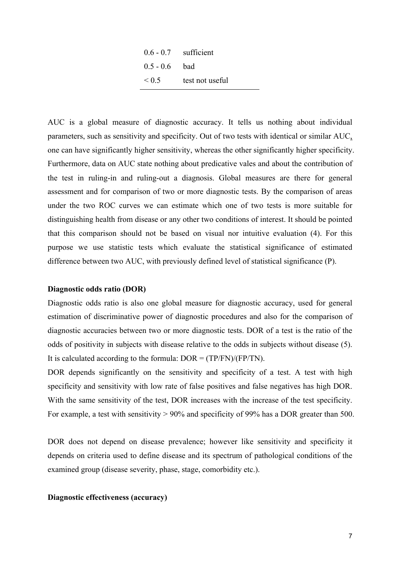| $0.6 - 0.7$ sufficient |                 |
|------------------------|-----------------|
| $0.5 - 0.6$ bad        |                 |
| ${}_{0.5}$             | test not useful |

AUC is a global measure of diagnostic accuracy. It tells us nothing about individual parameters, such as sensitivity and specificity. Out of two tests with identical or similar AUC, one can have significantly higher sensitivity, whereas the other significantly higher specificity. Furthermore, data on AUC state nothing about predicative vales and about the contribution of the test in ruling-in and ruling-out a diagnosis. Global measures are there for general assessment and for comparison of two or more diagnostic tests. By the comparison of areas under the two ROC curves we can estimate which one of two tests is more suitable for distinguishing health from disease or any other two conditions of interest. It should be pointed that this comparison should not be based on visual nor intuitive evaluation (4). For this purpose we use statistic tests which evaluate the statistical significance of estimated difference between two AUC, with previously defined level of statistical significance (P).

#### **Diagnostic odds ratio (DOR)**

Diagnostic odds ratio is also one global measure for diagnostic accuracy, used for general estimation of discriminative power of diagnostic procedures and also for the comparison of diagnostic accuracies between two or more diagnostic tests. DOR of a test is the ratio of the odds of positivity in subjects with disease relative to the odds in subjects without disease (5). It is calculated according to the formula: DOR = (TP/FN)/(FP/TN).

DOR depends significantly on the sensitivity and specificity of a test. A test with high specificity and sensitivity with low rate of false positives and false negatives has high DOR. With the same sensitivity of the test, DOR increases with the increase of the test specificity. For example, a test with sensitivity  $> 90\%$  and specificity of 99% has a DOR greater than 500.

DOR does not depend on disease prevalence; however like sensitivity and specificity it depends on criteria used to define disease and its spectrum of pathological conditions of the examined group (disease severity, phase, stage, comorbidity etc.).

### **Diagnostic effectiveness (accuracy)**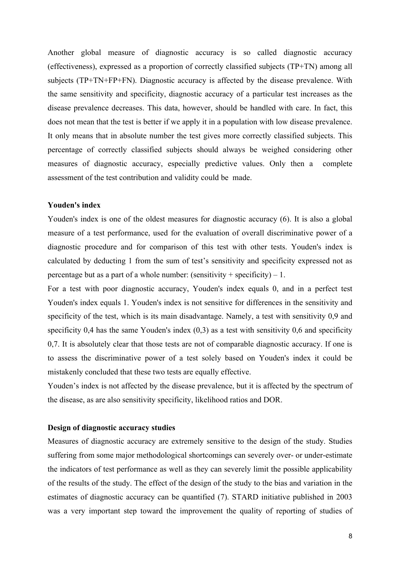Another global measure of diagnostic accuracy is so called diagnostic accuracy (effectiveness), expressed as a proportion of correctly classified subjects (TP+TN) among all subjects (TP+TN+FP+FN). Diagnostic accuracy is affected by the disease prevalence. With the same sensitivity and specificity, diagnostic accuracy of a particular test increases as the disease prevalence decreases. This data, however, should be handled with care. In fact, this does not mean that the test is better if we apply it in a population with low disease prevalence. It only means that in absolute number the test gives more correctly classified subjects. This percentage of correctly classified subjects should always be weighed considering other measures of diagnostic accuracy, especially predictive values. Only then a complete assessment of the test contribution and validity could be made.

#### **Youden's index**

Youden's index is one of the oldest measures for diagnostic accuracy (6). It is also a global measure of a test performance, used for the evaluation of overall discriminative power of a diagnostic procedure and for comparison of this test with other tests. Youden's index is calculated by deducting 1 from the sum of test's sensitivity and specificity expressed not as percentage but as a part of a whole number: (sensitivity + specificity) – 1.

For a test with poor diagnostic accuracy, Youden's index equals 0, and in a perfect test Youden's index equals 1. Youden's index is not sensitive for differences in the sensitivity and specificity of the test, which is its main disadvantage. Namely, a test with sensitivity 0,9 and specificity 0,4 has the same Youden's index  $(0,3)$  as a test with sensitivity 0,6 and specificity 0,7. It is absolutely clear that those tests are not of comparable diagnostic accuracy. If one is to assess the discriminative power of a test solely based on Youden's index it could be mistakenly concluded that these two tests are equally effective.

Youden's index is not affected by the disease prevalence, but it is affected by the spectrum of the disease, as are also sensitivity specificity, likelihood ratios and DOR.

### **Design of diagnostic accuracy studies**

Measures of diagnostic accuracy are extremely sensitive to the design of the study. Studies suffering from some major methodological shortcomings can severely over- or under-estimate the indicators of test performance as well as they can severely limit the possible applicability of the results of the study. The effect of the design of the study to the bias and variation in the estimates of diagnostic accuracy can be quantified (7). STARD initiative published in 2003 was a very important step toward the improvement the quality of reporting of studies of